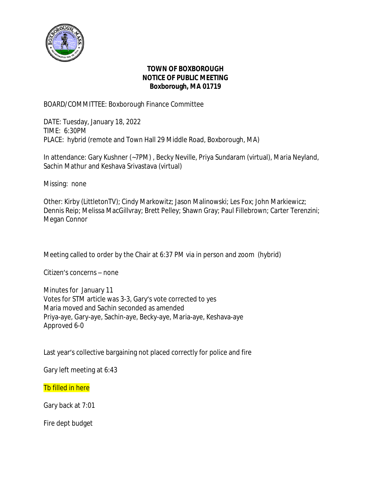

### **TOWN OF BOXBOROUGH NOTICE OF PUBLIC MEETING Boxborough, MA 01719**

BOARD/COMMITTEE: Boxborough Finance Committee

DATE: Tuesday, January 18, 2022 TIME: 6:30PM PLACE: hybrid (remote and Town Hall 29 Middle Road, Boxborough, MA)

In attendance: Gary Kushner (~7PM) , Becky Neville, Priya Sundaram (virtual), Maria Neyland, Sachin Mathur and Keshava Srivastava (virtual)

Missing: none

Other: Kirby (LittletonTV); Cindy Markowitz; Jason Malinowski; Les Fox; John Markiewicz; Dennis Reip; Melissa MacGillvray; Brett Pelley; Shawn Gray; Paul Fillebrown; Carter Terenzini; Megan Connor

Meeting called to order by the Chair at 6:37 PM via in person and zoom (hybrid)

Citizen's concerns – none

Minutes for January 11 Votes for STM article was 3-3, Gary's vote corrected to yes Maria moved and Sachin seconded as amended Priya-aye, Gary-aye, Sachin-aye, Becky-aye, Maria-aye, Keshava-aye Approved 6-0

Last year's collective bargaining not placed correctly for police and fire

Gary left meeting at 6:43

**Tb filled in here** 

Gary back at 7:01

Fire dept budget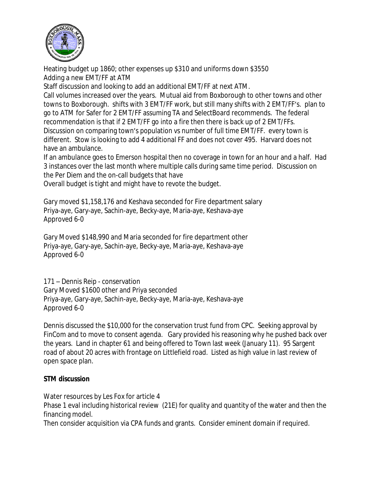

Heating budget up 1860; other expenses up \$310 and uniforms down \$3550 Adding a new EMT/FF at ATM

Staff discussion and looking to add an additional EMT/FF at next ATM.

Call volumes increased over the years. Mutual aid from Boxborough to other towns and other towns to Boxborough. shifts with 3 EMT/FF work, but still many shifts with 2 EMT/FF's. plan to go to ATM for Safer for 2 EMT/FF assuming TA and SelectBoard recommends. The federal recommendation is that if 2 EMT/FF go into a fire then there is back up of 2 EMT/FFs. Discussion on comparing town's population vs number of full time EMT/FF. every town is different. Stow is looking to add 4 additional FF and does not cover 495. Harvard does not have an ambulance.

If an ambulance goes to Emerson hospital then no coverage in town for an hour and a half. Had 3 instances over the last month where multiple calls during same time period. Discussion on the Per Diem and the on-call budgets that have

Overall budget is tight and might have to revote the budget.

Gary moved \$1,158,176 and Keshava seconded for Fire department salary Priya-aye, Gary-aye, Sachin-aye, Becky-aye, Maria-aye, Keshava-aye Approved 6-0

Gary Moved \$148,990 and Maria seconded for fire department other Priya-aye, Gary-aye, Sachin-aye, Becky-aye, Maria-aye, Keshava-aye Approved 6-0

171 – Dennis Reip - conservation Gary Moved \$1600 other and Priya seconded Priya-aye, Gary-aye, Sachin-aye, Becky-aye, Maria-aye, Keshava-aye Approved 6-0

Dennis discussed the \$10,000 for the conservation trust fund from CPC. Seeking approval by FinCom and to move to consent agenda. Gary provided his reasoning why he pushed back over the years. Land in chapter 61 and being offered to Town last week (January 11). 95 Sargent road of about 20 acres with frontage on Littlefield road. Listed as high value in last review of open space plan.

## **STM discussion**

Water resources by Les Fox for article 4

Phase 1 eval including historical review (21E) for quality and quantity of the water and then the financing model.

Then consider acquisition via CPA funds and grants. Consider eminent domain if required.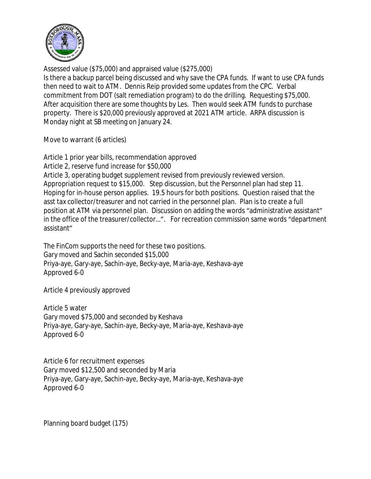

Assessed value (\$75,000) and appraised value (\$275,000) Is there a backup parcel being discussed and why save the CPA funds. If want to use CPA funds then need to wait to ATM. Dennis Reip provided some updates from the CPC. Verbal commitment from DOT (salt remediation program) to do the drilling. Requesting \$75,000. After acquisition there are some thoughts by Les. Then would seek ATM funds to purchase property. There is \$20,000 previously approved at 2021 ATM article. ARPA discussion is Monday night at SB meeting on January 24.

Move to warrant (6 articles)

Article 1 prior year bills, recommendation approved Article 2, reserve fund increase for \$50,000 Article 3, operating budget supplement revised from previously reviewed version. Appropriation request to \$15,000. Step discussion, but the Personnel plan had step 11. Hoping for in-house person applies. 19.5 hours for both positions. Question raised that the asst tax collector/treasurer and not carried in the personnel plan. Plan is to create a full position at ATM via personnel plan. Discussion on adding the words "administrative assistant" in the office of the treasurer/collector…". For recreation commission same words "department assistant"

The FinCom supports the need for these two positions. Gary moved and Sachin seconded \$15,000 Priya-aye, Gary-aye, Sachin-aye, Becky-aye, Maria-aye, Keshava-aye Approved 6-0

Article 4 previously approved

Article 5 water Gary moved \$75,000 and seconded by Keshava Priya-aye, Gary-aye, Sachin-aye, Becky-aye, Maria-aye, Keshava-aye Approved 6-0

Article 6 for recruitment expenses Gary moved \$12,500 and seconded by Maria Priya-aye, Gary-aye, Sachin-aye, Becky-aye, Maria-aye, Keshava-aye Approved 6-0

Planning board budget (175)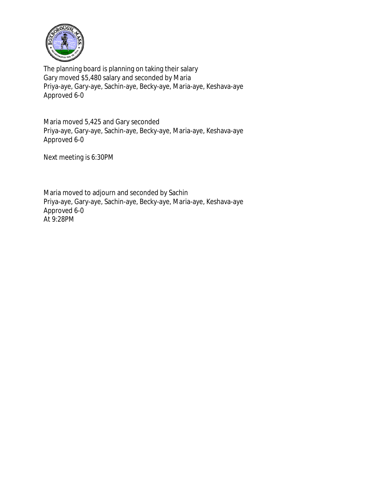

The planning board is planning on taking their salary Gary moved \$5,480 salary and seconded by Maria Priya-aye, Gary-aye, Sachin-aye, Becky-aye, Maria-aye, Keshava-aye Approved 6-0

Maria moved 5,425 and Gary seconded Priya-aye, Gary-aye, Sachin-aye, Becky-aye, Maria-aye, Keshava-aye Approved 6-0

Next meeting is 6:30PM

Maria moved to adjourn and seconded by Sachin Priya-aye, Gary-aye, Sachin-aye, Becky-aye, Maria-aye, Keshava-aye Approved 6-0 At 9:28PM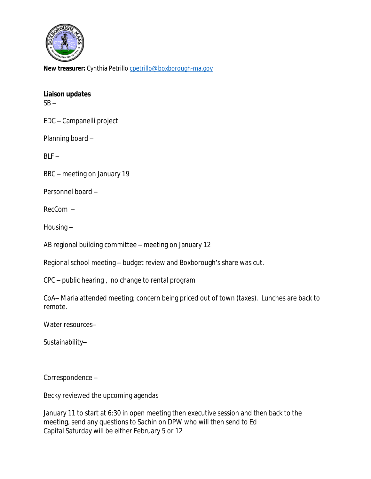

**New treasurer:** Cynthia Petrillo [cpetrillo@boxborough-ma.gov](mailto:cpetrillo@boxborough-ma.gov)

## **[Liaison updates](mailto:cpetrillo@boxborough-ma.gov)**

 $SB SB -$ 

[EDC](mailto:cpetrillo@boxborough-ma.gov) [–](mailto:cpetrillo@boxborough-ma.gov) [Campanelli project](mailto:cpetrillo@boxborough-ma.gov)

[Planning board](mailto:cpetrillo@boxborough-ma.gov) [–](mailto:cpetrillo@boxborough-ma.gov)

 $BLF BLF -$ 

[BBC](mailto:cpetrillo@boxborough-ma.gov) [–](mailto:cpetrillo@boxborough-ma.gov) [meeting on January](mailto:cpetrillo@boxborough-ma.gov) [19](mailto:cpetrillo@boxborough-ma.gov)

[Personnel board](mailto:cpetrillo@boxborough-ma.gov) [–](mailto:cpetrillo@boxborough-ma.gov)

[RecCom](mailto:cpetrillo@boxborough-ma.gov) [–](mailto:cpetrillo@boxborough-ma.gov)

[Housing](mailto:cpetrillo@boxborough-ma.gov) [–](mailto:cpetrillo@boxborough-ma.gov)

[AB regional building committee](mailto:cpetrillo@boxborough-ma.gov) [–](mailto:cpetrillo@boxborough-ma.gov) [meeting](mailto:cpetrillo@boxborough-ma.gov) [on January 12](mailto:cpetrillo@boxborough-ma.gov)

[Regional school meeting](mailto:cpetrillo@boxborough-ma.gov) [–](mailto:cpetrillo@boxborough-ma.gov) [budget review and Boxborough](mailto:cpetrillo@boxborough-ma.gov)['](mailto:cpetrillo@boxborough-ma.gov)[s share was cut.](mailto:cpetrillo@boxborough-ma.gov)

[CPC](mailto:cpetrillo@boxborough-ma.gov) [–](mailto:cpetrillo@boxborough-ma.gov) [public hearing , no change to rental program](mailto:cpetrillo@boxborough-ma.gov)

[CoA](mailto:cpetrillo@boxborough-ma.gov)[–](mailto:cpetrillo@boxborough-ma.gov) [Maria attended meeting; concern being priced out of town \(taxes\). Lunches are back to](mailto:cpetrillo@boxborough-ma.gov)  [remote.](mailto:cpetrillo@boxborough-ma.gov)

[Water resources](mailto:cpetrillo@boxborough-ma.gov)[–](mailto:cpetrillo@boxborough-ma.gov)

[Sustainability](mailto:cpetrillo@boxborough-ma.gov)[–](mailto:cpetrillo@boxborough-ma.gov)

[Correspondence](mailto:cpetrillo@boxborough-ma.gov) [–](mailto:cpetrillo@boxborough-ma.gov)

[Becky reviewed the upcoming agendas](mailto:cpetrillo@boxborough-ma.gov)

[January](mailto:cpetrillo@boxborough-ma.gov) [11 to start at 6:30](mailto:cpetrillo@boxborough-ma.gov) [in open meeting then executive session](mailto:cpetrillo@boxborough-ma.gov) [and](mailto:cpetrillo@boxborough-ma.gov) [then back to the](mailto:cpetrillo@boxborough-ma.gov)  [meeting, send any questions to Sachin on DPW who will then send to Ed](mailto:cpetrillo@boxborough-ma.gov) [Capital Saturday will be either February](mailto:cpetrillo@boxborough-ma.gov) [5 or 12](mailto:cpetrillo@boxborough-ma.gov)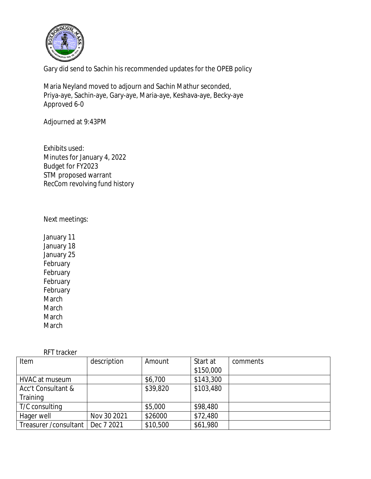

Gary did send to Sachin his recommended updates for the OPEB policy

Maria Neyland moved to adjourn and Sachin Mathur seconded, Priya-aye, Sachin-aye, Gary-aye, Maria-aye, Keshava-aye, Becky-aye Approved 6-0

Adjourned at 9:43PM

Exhibits used: Minutes for January 4, 2022 Budget for FY2023 STM proposed warrant RecCom revolving fund history

#### Next meetings:

January 11 January 18 January 25 **February** February February February March March **March** March

RFT tracker

| Item                   | description | Amount   | Start at  | comments |
|------------------------|-------------|----------|-----------|----------|
|                        |             |          | \$150,000 |          |
| <b>HVAC at museum</b>  |             | \$6,700  | \$143,300 |          |
| Acc't Consultant &     |             | \$39,820 | \$103,480 |          |
| Training               |             |          |           |          |
| T/C consulting         |             | \$5,000  | \$98,480  |          |
| Hager well             | Nov 30 2021 | \$26000  | \$72,480  |          |
| Treasurer / consultant | Dec 7 2021  | \$10,500 | \$61,980  |          |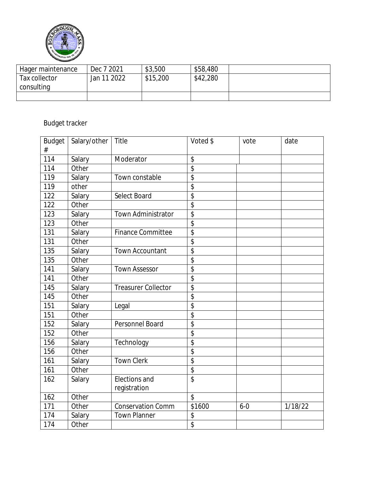

| Hager maintenance | Dec 7 2021  | \$3,500  | \$58,480 |  |
|-------------------|-------------|----------|----------|--|
| Tax collector     | Jan 11 2022 | \$15,200 | \$42,280 |  |
| consulting        |             |          |          |  |
|                   |             |          |          |  |

# Budget tracker

| Budget<br># | Salary/other | Title                      | Voted \$                 | vote    | date    |
|-------------|--------------|----------------------------|--------------------------|---------|---------|
| 114         | Salary       | Moderator                  | \$                       |         |         |
| 114         | Other        |                            | $\overline{\mathcal{L}}$ |         |         |
| 119         | Salary       | Town constable             | \$                       |         |         |
| 119         | other        |                            | \$                       |         |         |
| 122         | Salary       | Select Board               | \$                       |         |         |
| 122         | Other        |                            | \$                       |         |         |
| 123         | Salary       | Town Administrator         | $\overline{\mathcal{L}}$ |         |         |
| 123         | Other        |                            | \$                       |         |         |
| 131         | Salary       | <b>Finance Committee</b>   | \$                       |         |         |
| 131         | Other        |                            | \$                       |         |         |
| 135         | Salary       | Town Accountant            | \$                       |         |         |
| 135         | Other        |                            | \$                       |         |         |
| 141         | Salary       | <b>Town Assessor</b>       | $\overline{\$}$          |         |         |
| 141         | Other        |                            | $\overline{\$}$          |         |         |
| 145         | Salary       | <b>Treasurer Collector</b> | \$                       |         |         |
| 145         | Other        |                            | \$                       |         |         |
| 151         | Salary       | Legal                      | $\overline{\$}$          |         |         |
| 151         | Other        |                            | \$                       |         |         |
| 152         | Salary       | Personnel Board            | \$                       |         |         |
| 152         | Other        |                            | $\overline{\mathcal{L}}$ |         |         |
| 156         | Salary       | Technology                 | \$                       |         |         |
| 156         | Other        |                            | \$                       |         |         |
| 161         | Salary       | <b>Town Clerk</b>          | $\overline{\$}$          |         |         |
| 161         | Other        |                            | \$                       |         |         |
| 162         | Salary       | Elections and              | \$                       |         |         |
|             |              | registration               |                          |         |         |
| 162         | Other        |                            | \$                       |         |         |
| 171         | Other        | <b>Conservation Comm</b>   | \$1600                   | $6 - 0$ | 1/18/22 |
| 174         | Salary       | <b>Town Planner</b>        | \$                       |         |         |
| 174         | Other        |                            | \$                       |         |         |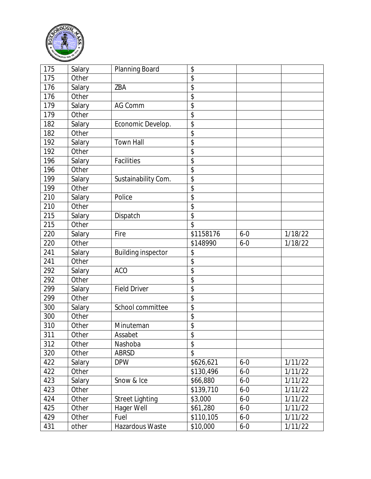

| 175 | Salary | Planning Board            | \$              |         |         |
|-----|--------|---------------------------|-----------------|---------|---------|
| 175 | Other  |                           | \$              |         |         |
| 176 | Salary | ZBA                       | \$              |         |         |
| 176 | Other  |                           | \$              |         |         |
| 179 | Salary | AG Comm                   | \$              |         |         |
| 179 | Other  |                           | \$              |         |         |
| 182 | Salary | Economic Develop.         | \$              |         |         |
| 182 | Other  |                           | \$              |         |         |
| 192 | Salary | <b>Town Hall</b>          | \$              |         |         |
| 192 | Other  |                           | \$              |         |         |
| 196 | Salary | Facilities                | \$              |         |         |
| 196 | Other  |                           | \$              |         |         |
| 199 | Salary | Sustainability Com.       | \$              |         |         |
| 199 | Other  |                           | \$              |         |         |
| 210 | Salary | Police                    | \$              |         |         |
| 210 | Other  |                           | \$              |         |         |
| 215 | Salary | Dispatch                  | \$              |         |         |
| 215 | Other  |                           | \$              |         |         |
| 220 | Salary | Fire                      | \$1158176       | $6 - 0$ | 1/18/22 |
| 220 | Other  |                           | \$148990        | $6 - 0$ | 1/18/22 |
| 241 | Salary | <b>Building inspector</b> | \$              |         |         |
| 241 | Other  |                           | $\overline{\$}$ |         |         |
| 292 | Salary | <b>ACO</b>                | \$              |         |         |
| 292 | Other  |                           | \$              |         |         |
| 299 | Salary | <b>Field Driver</b>       | \$              |         |         |
| 299 | Other  |                           | \$              |         |         |
| 300 | Salary | School committee          | \$              |         |         |
| 300 | Other  |                           | \$              |         |         |
| 310 | Other  | Minuteman                 | \$              |         |         |
| 311 | Other  | Assabet                   | \$              |         |         |
| 312 | Other  | Nashoba                   | \$              |         |         |
| 320 | Other  | <b>ABRSD</b>              | $\overline{\$}$ |         |         |
| 422 | Salary | <b>DPW</b>                | \$626,621       | $6 - 0$ | 1/11/22 |
| 422 | Other  |                           | \$130,496       | $6 - 0$ | 1/11/22 |
| 423 | Salary | Snow & Ice                | \$66,880        | $6 - 0$ | 1/11/22 |
| 423 | Other  |                           | \$139,710       | $6 - 0$ | 1/11/22 |
| 424 | Other  | <b>Street Lighting</b>    | \$3,000         | $6 - 0$ | 1/11/22 |
| 425 | Other  | Hager Well                | \$61,280        | $6 - 0$ | 1/11/22 |
| 429 | Other  | Fuel                      | \$110,105       | $6 - 0$ | 1/11/22 |
| 431 | other  | Hazardous Waste           | \$10,000        | $6 - 0$ | 1/11/22 |